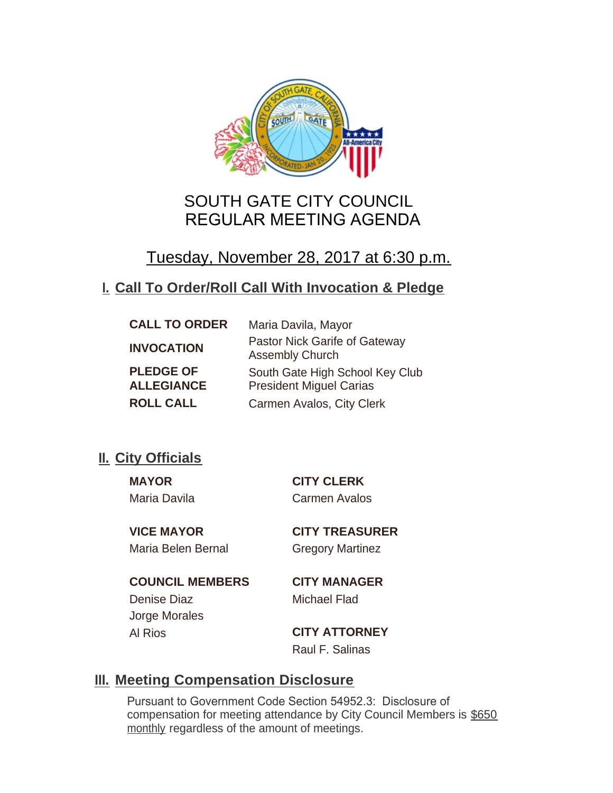

# SOUTH GATE CITY COUNCIL REGULAR MEETING AGENDA

# Tuesday, November 28, 2017 at 6:30 p.m.

# **Call To Order/Roll Call With Invocation & Pledge I.**

| <b>CALL TO ORDER</b>                  | Maria Davila, Mayor                                               |
|---------------------------------------|-------------------------------------------------------------------|
| <b>INVOCATION</b>                     | Pastor Nick Garife of Gateway<br><b>Assembly Church</b>           |
| <b>PLEDGE OF</b><br><b>ALLEGIANCE</b> | South Gate High School Key Club<br><b>President Miguel Carias</b> |
| <b>ROLL CALL</b>                      | Carmen Avalos, City Clerk                                         |

# **II.** City Officials

Maria Davila Carmen Avalos

**MAYOR CITY CLERK**

Maria Belen Bernal Gregory Martinez

**VICE MAYOR CITY TREASURER**

**COUNCIL MEMBERS CITY MANAGER** Denise Diaz Michael Flad Jorge Morales

Al Rios **CITY ATTORNEY** Raul F. Salinas

# **Meeting Compensation Disclosure III.**

Pursuant to Government Code Section 54952.3: Disclosure of compensation for meeting attendance by City Council Members is \$650 monthly regardless of the amount of meetings.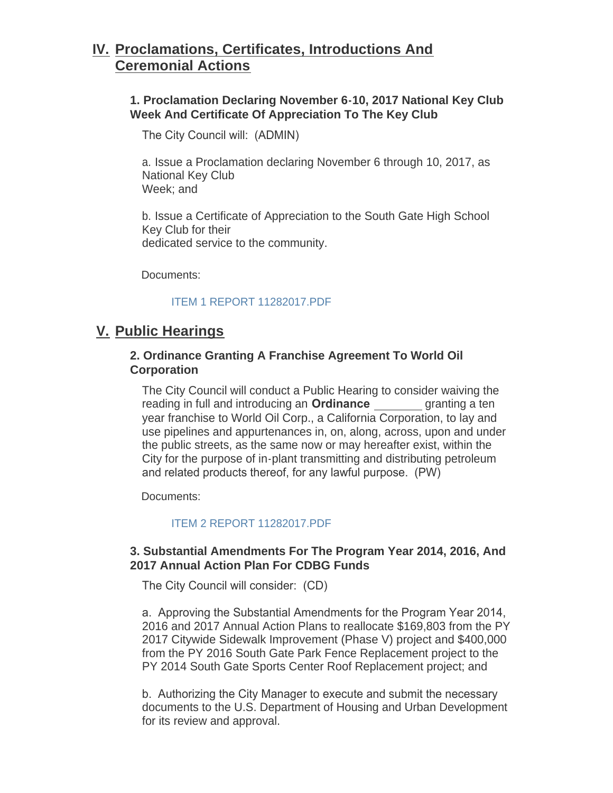# **Proclamations, Certificates, Introductions And IV. Ceremonial Actions**

## **1. Proclamation Declaring November 6-10, 2017 National Key Club Week And Certificate Of Appreciation To The Key Club**

The City Council will: (ADMIN)

a. Issue a Proclamation declaring November 6 through 10, 2017, as National Key Club Week; and

b. Issue a Certificate of Appreciation to the South Gate High School Key Club for their dedicated service to the community.

Documents:

#### [ITEM 1 REPORT 11282017.PDF](http://ca-southgate.civicplus.com/AgendaCenter/ViewFile/Item/5121?fileID=11069)

## **Public Hearings V.**

### **2. Ordinance Granting A Franchise Agreement To World Oil Corporation**

The City Council will conduct a Public Hearing to consider waiving the reading in full and introducing an **Ordinance** granting a ten year franchise to World Oil Corp., a California Corporation, to lay and use pipelines and appurtenances in, on, along, across, upon and under the public streets, as the same now or may hereafter exist, within the City for the purpose of in-plant transmitting and distributing petroleum and related products thereof, for any lawful purpose. (PW)

Documents:

#### [ITEM 2 REPORT 11282017.PDF](http://ca-southgate.civicplus.com/AgendaCenter/ViewFile/Item/5148?fileID=11080)

#### **3. Substantial Amendments For The Program Year 2014, 2016, And 2017 Annual Action Plan For CDBG Funds**

The City Council will consider: (CD)

a. Approving the Substantial Amendments for the Program Year 2014, 2016 and 2017 Annual Action Plans to reallocate \$169,803 from the PY 2017 Citywide Sidewalk Improvement (Phase V) project and \$400,000 from the PY 2016 South Gate Park Fence Replacement project to the PY 2014 South Gate Sports Center Roof Replacement project; and

b. Authorizing the City Manager to execute and submit the necessary documents to the U.S. Department of Housing and Urban Development for its review and approval.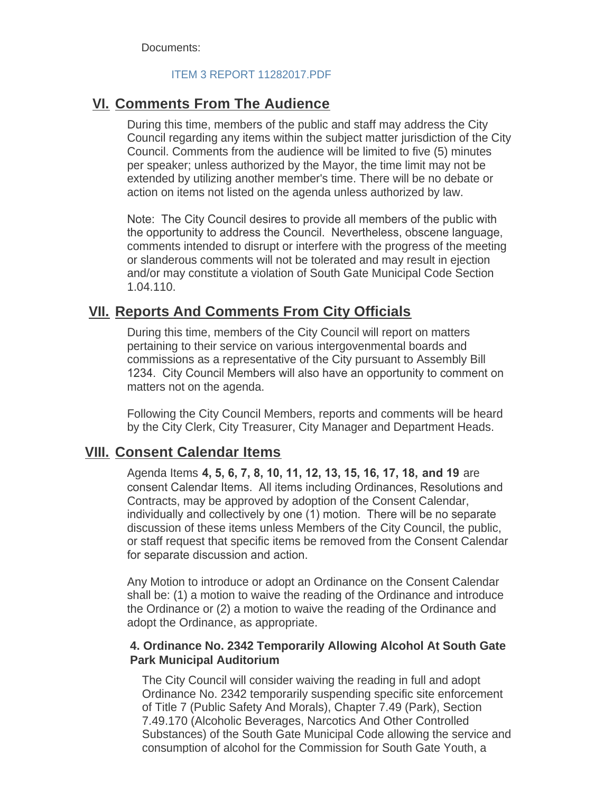Documents:

#### [ITEM 3 REPORT 11282017.PDF](http://ca-southgate.civicplus.com/AgendaCenter/ViewFile/Item/5141?fileID=11073)

## **<u>VI. Comments From The Audience</u>**

During this time, members of the public and staff may address the City Council regarding any items within the subject matter jurisdiction of the City Council. Comments from the audience will be limited to five (5) minutes per speaker; unless authorized by the Mayor, the time limit may not be extended by utilizing another member's time. There will be no debate or action on items not listed on the agenda unless authorized by law.

Note: The City Council desires to provide all members of the public with the opportunity to address the Council. Nevertheless, obscene language, comments intended to disrupt or interfere with the progress of the meeting or slanderous comments will not be tolerated and may result in ejection and/or may constitute a violation of South Gate Municipal Code Section 1.04.110.

## **<u>VII. Reports And Comments From City Officials</u>**

During this time, members of the City Council will report on matters pertaining to their service on various intergovenmental boards and commissions as a representative of the City pursuant to Assembly Bill 1234. City Council Members will also have an opportunity to comment on matters not on the agenda.

Following the City Council Members, reports and comments will be heard by the City Clerk, City Treasurer, City Manager and Department Heads.

## **Consent Calendar Items VIII.**

Agenda Items **4, 5, 6, 7, 8, 10, 11, 12, 13, 15, 16, 17, 18, and 19** are consent Calendar Items. All items including Ordinances, Resolutions and Contracts, may be approved by adoption of the Consent Calendar, individually and collectively by one (1) motion. There will be no separate discussion of these items unless Members of the City Council, the public, or staff request that specific items be removed from the Consent Calendar for separate discussion and action.

Any Motion to introduce or adopt an Ordinance on the Consent Calendar shall be: (1) a motion to waive the reading of the Ordinance and introduce the Ordinance or (2) a motion to waive the reading of the Ordinance and adopt the Ordinance, as appropriate.

#### **4. Ordinance No. 2342 Temporarily Allowing Alcohol At South Gate Park Municipal Auditorium**

The City Council will consider waiving the reading in full and adopt Ordinance No. 2342 temporarily suspending specific site enforcement of Title 7 (Public Safety And Morals), Chapter 7.49 (Park), Section 7.49.170 (Alcoholic Beverages, Narcotics And Other Controlled Substances) of the South Gate Municipal Code allowing the service and consumption of alcohol for the Commission for South Gate Youth, a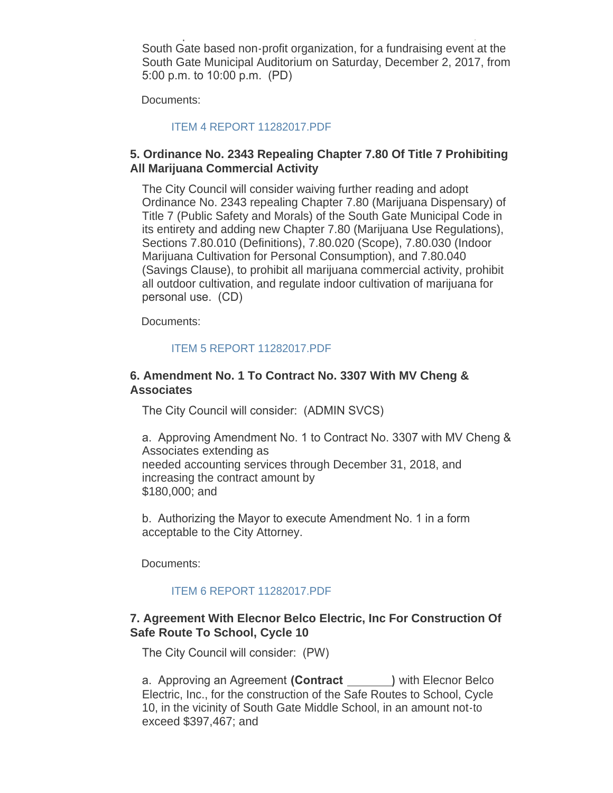consumption of alcohol for the Commission for South Gate Youth, a South Gate based non-profit organization, for a fundraising event at the South Gate Municipal Auditorium on Saturday, December 2, 2017, from 5:00 p.m. to 10:00 p.m. (PD)

Documents:

[ITEM 4 REPORT 11282017.PDF](http://ca-southgate.civicplus.com/AgendaCenter/ViewFile/Item/5122?fileID=11070)

## **5. Ordinance No. 2343 Repealing Chapter 7.80 Of Title 7 Prohibiting All Marijuana Commercial Activity**

The City Council will consider waiving further reading and adopt Ordinance No. 2343 repealing Chapter 7.80 (Marijuana Dispensary) of Title 7 (Public Safety and Morals) of the South Gate Municipal Code in its entirety and adding new Chapter 7.80 (Marijuana Use Regulations), Sections 7.80.010 (Definitions), 7.80.020 (Scope), 7.80.030 (Indoor Marijuana Cultivation for Personal Consumption), and 7.80.040 (Savings Clause), to prohibit all marijuana commercial activity, prohibit all outdoor cultivation, and regulate indoor cultivation of marijuana for personal use. (CD)

Documents:

#### [ITEM 5 REPORT 11282017.PDF](http://ca-southgate.civicplus.com/AgendaCenter/ViewFile/Item/5123?fileID=11071)

#### **6. Amendment No. 1 To Contract No. 3307 With MV Cheng & Associates**

The City Council will consider: (ADMIN SVCS)

a. Approving Amendment No. 1 to Contract No. 3307 with MV Cheng & Associates extending as needed accounting services through December 31, 2018, and increasing the contract amount by \$180,000; and

b. Authorizing the Mayor to execute Amendment No. 1 in a form acceptable to the City Attorney.

Documents:

#### [ITEM 6 REPORT 11282017.PDF](http://ca-southgate.civicplus.com/AgendaCenter/ViewFile/Item/5142?fileID=11074)

#### **7. Agreement With Elecnor Belco Electric, Inc For Construction Of Safe Route To School, Cycle 10**

The City Council will consider: (PW)

a. Approving an Agreement **(Contract )** with Elecnor Belco Electric, Inc., for the construction of the Safe Routes to School, Cycle 10, in the vicinity of South Gate Middle School, in an amount not-to exceed \$397,467; and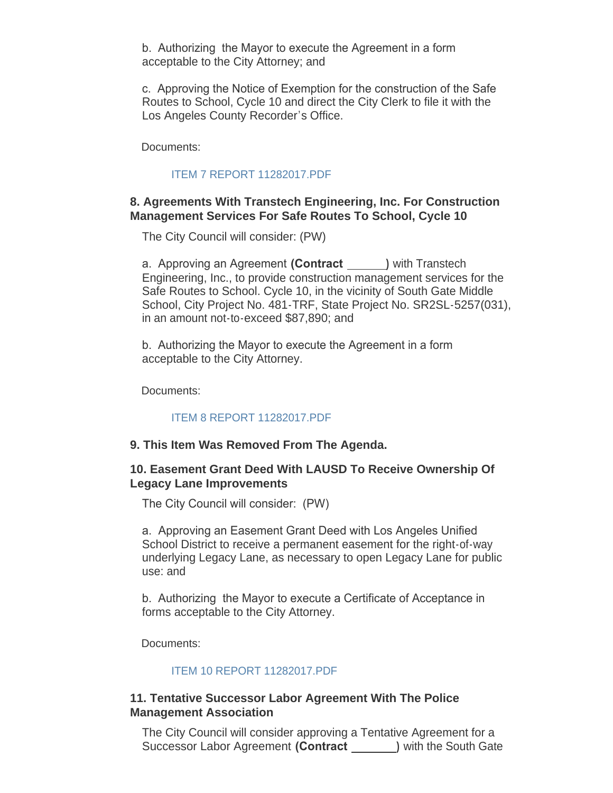b. Authorizing the Mayor to execute the Agreement in a form acceptable to the City Attorney; and

c. Approving the Notice of Exemption for the construction of the Safe Routes to School, Cycle 10 and direct the City Clerk to file it with the Los Angeles County Recorder's Office.

Documents:

### [ITEM 7 REPORT 11282017.PDF](http://ca-southgate.civicplus.com/AgendaCenter/ViewFile/Item/5149?fileID=11081)

## **8. Agreements With Transtech Engineering, Inc. For Construction Management Services For Safe Routes To School, Cycle 10**

The City Council will consider: (PW)

a. Approving an Agreement **(Contract )** with Transtech Engineering, Inc., to provide construction management services for the Safe Routes to School. Cycle 10, in the vicinity of South Gate Middle School, City Project No. 481-TRF, State Project No. SR2SL-5257(031), in an amount not-to-exceed \$87,890; and

b. Authorizing the Mayor to execute the Agreement in a form acceptable to the City Attorney.

Documents:

#### [ITEM 8 REPORT 11282017.PDF](http://ca-southgate.civicplus.com/AgendaCenter/ViewFile/Item/5155?fileID=11085)

#### **9. This Item Was Removed From The Agenda.**

#### **10. Easement Grant Deed With LAUSD To Receive Ownership Of Legacy Lane Improvements**

The City Council will consider: (PW)

a. Approving an Easement Grant Deed with Los Angeles Unified School District to receive a permanent easement for the right-of-way underlying Legacy Lane, as necessary to open Legacy Lane for public use: and

b. Authorizing the Mayor to execute a Certificate of Acceptance in forms acceptable to the City Attorney.

Documents:

#### [ITEM 10 REPORT 11282017.PDF](http://ca-southgate.civicplus.com/AgendaCenter/ViewFile/Item/5150?fileID=11082)

#### **11. Tentative Successor Labor Agreement With The Police Management Association**

The City Council will consider approving a Tentative Agreement for a Successor Labor Agreement **(Contract )** with the South Gate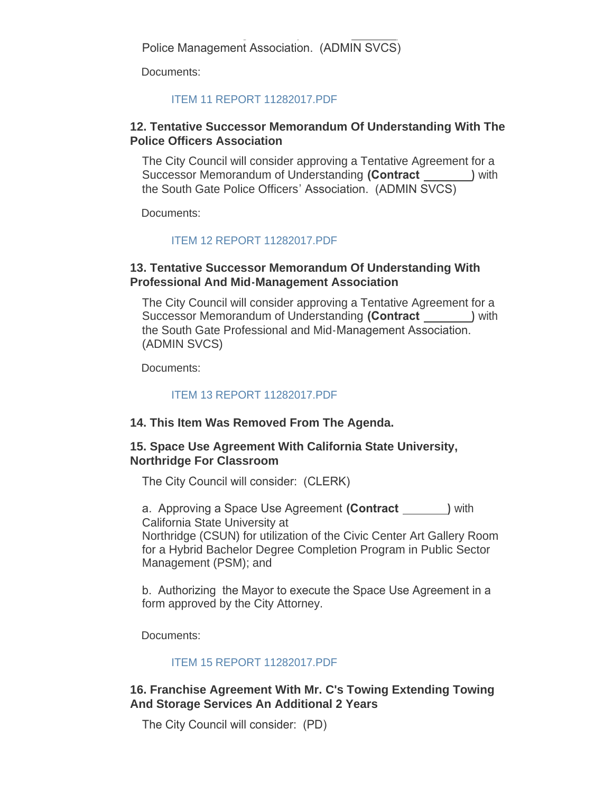Successor Labor Agreement **(Contract )** with the South Gate Police Management Association. (ADMIN SVCS)

Documents:

### [ITEM 11 REPORT 11282017.PDF](http://ca-southgate.civicplus.com/AgendaCenter/ViewFile/Item/5156?fileID=11086)

### **12. Tentative Successor Memorandum Of Understanding With The Police Officers Association**

The City Council will consider approving a Tentative Agreement for a Successor Memorandum of Understanding **(Contract )** with the South Gate Police Officers' Association. (ADMIN SVCS)

Documents:

## [ITEM 12 REPORT 11282017.PDF](http://ca-southgate.civicplus.com/AgendaCenter/ViewFile/Item/5157?fileID=11087)

### **13. Tentative Successor Memorandum Of Understanding With Professional And Mid-Management Association**

The City Council will consider approving a Tentative Agreement for a Successor Memorandum of Understanding **(Contract )** with the South Gate Professional and Mid-Management Association. (ADMIN SVCS)

Documents:

#### [ITEM 13 REPORT 11282017.PDF](http://ca-southgate.civicplus.com/AgendaCenter/ViewFile/Item/5158?fileID=11088)

#### **14. This Item Was Removed From The Agenda.**

#### **15. Space Use Agreement With California State University, Northridge For Classroom**

The City Council will consider: (CLERK)

a. Approving a Space Use Agreement **(Contract )** with California State University at Northridge (CSUN) for utilization of the Civic Center Art Gallery Room for a Hybrid Bachelor Degree Completion Program in Public Sector Management (PSM); and

b. Authorizing the Mayor to execute the Space Use Agreement in a form approved by the City Attorney.

Documents:

#### [ITEM 15 REPORT 11282017.PDF](http://ca-southgate.civicplus.com/AgendaCenter/ViewFile/Item/5143?fileID=11075)

## **16. Franchise Agreement With Mr. C's Towing Extending Towing And Storage Services An Additional 2 Years**

The City Council will consider: (PD)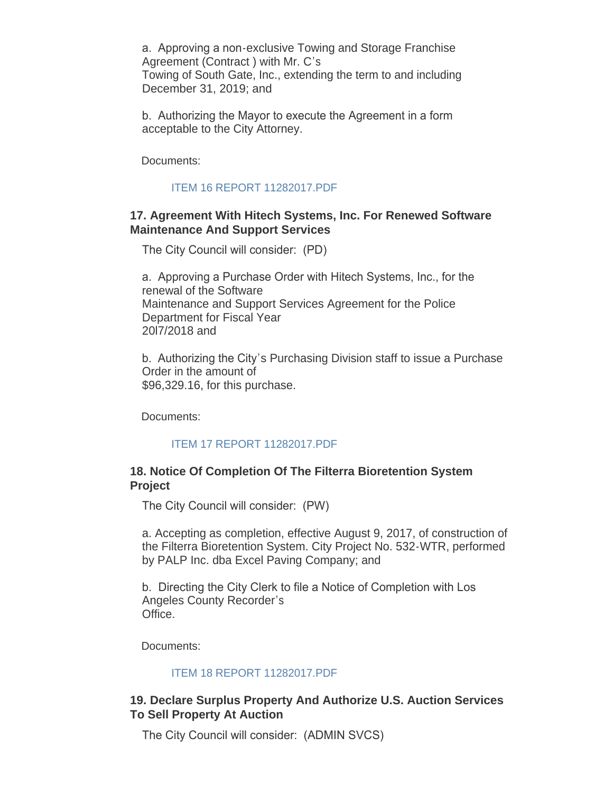a. Approving a non-exclusive Towing and Storage Franchise Agreement (Contract ) with Mr. C's Towing of South Gate, Inc., extending the term to and including December 31, 2019; and

b. Authorizing the Mayor to execute the Agreement in a form acceptable to the City Attorney.

Documents:

#### [ITEM 16 REPORT 11282017.PDF](http://ca-southgate.civicplus.com/AgendaCenter/ViewFile/Item/5144?fileID=11076)

#### **17. Agreement With Hitech Systems, Inc. For Renewed Software Maintenance And Support Services**

The City Council will consider: (PD)

a. Approving a Purchase Order with Hitech Systems, Inc., for the renewal of the Software Maintenance and Support Services Agreement for the Police Department for Fiscal Year 20l7/2018 and

b. Authorizing the City's Purchasing Division staff to issue a Purchase Order in the amount of \$96,329.16, for this purchase.

Documents:

#### [ITEM 17 REPORT 11282017.PDF](http://ca-southgate.civicplus.com/AgendaCenter/ViewFile/Item/5145?fileID=11077)

#### **18. Notice Of Completion Of The Filterra Bioretention System Project**

The City Council will consider: (PW)

a. Accepting as completion, effective August 9, 2017, of construction of the Filterra Bioretention System. City Project No. 532-WTR, performed by PALP Inc. dba Excel Paving Company; and

b. Directing the City Clerk to file a Notice of Completion with Los Angeles County Recorder's Office.

Documents:

#### [ITEM 18 REPORT 11282017.PDF](http://ca-southgate.civicplus.com/AgendaCenter/ViewFile/Item/5154?fileID=11084)

#### **19. Declare Surplus Property And Authorize U.S. Auction Services To Sell Property At Auction**

The City Council will consider: (ADMIN SVCS)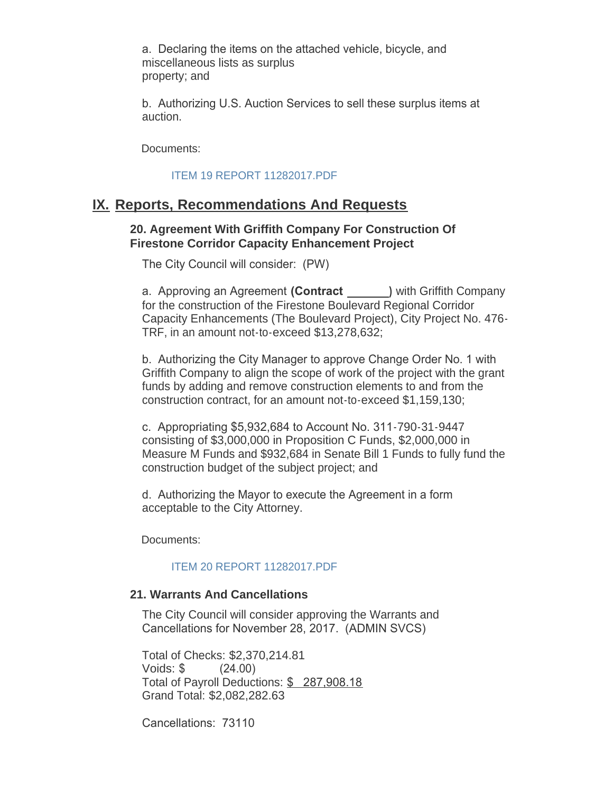a. Declaring the items on the attached vehicle, bicycle, and miscellaneous lists as surplus property; and

b. Authorizing U.S. Auction Services to sell these surplus items at auction.

Documents:

#### [ITEM 19 REPORT 11282017.PDF](http://ca-southgate.civicplus.com/AgendaCenter/ViewFile/Item/5146?fileID=11078)

## **IX. Reports, Recommendations And Requests**

#### **20. Agreement With Griffith Company For Construction Of Firestone Corridor Capacity Enhancement Project**

The City Council will consider: (PW)

a. Approving an Agreement **(Contract )** with Griffith Company for the construction of the Firestone Boulevard Regional Corridor Capacity Enhancements (The Boulevard Project), City Project No. 476- TRF, in an amount not-to-exceed \$13,278,632;

b. Authorizing the City Manager to approve Change Order No. 1 with Griffith Company to align the scope of work of the project with the grant funds by adding and remove construction elements to and from the construction contract, for an amount not-to-exceed \$1,159,130;

c. Appropriating \$5,932,684 to Account No. 311-790-31-9447 consisting of \$3,000,000 in Proposition C Funds, \$2,000,000 in Measure M Funds and \$932,684 in Senate Bill 1 Funds to fully fund the construction budget of the subject project; and

d. Authorizing the Mayor to execute the Agreement in a form acceptable to the City Attorney.

Documents:

#### [ITEM 20 REPORT 11282017.PDF](http://ca-southgate.civicplus.com/AgendaCenter/ViewFile/Item/5153?fileID=11083)

#### **21. Warrants And Cancellations**

The City Council will consider approving the Warrants and Cancellations for November 28, 2017. (ADMIN SVCS)

Total of Checks: \$2,370,214.81 Voids: \$ (24.00) Total of Payroll Deductions: \$ 287,908.18 Grand Total: \$2,082,282.63

Cancellations: 73110